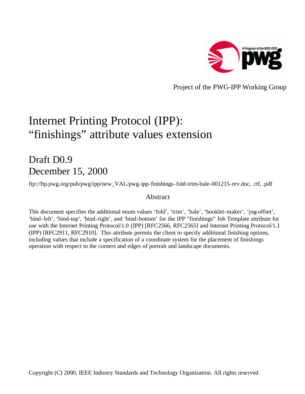

Project of the PWG-IPP Working Group

# Internet Printing Protocol (IPP): "finishings" attribute values extension

## Draft D0.9 December 15, 2000

ftp://ftp.pwg.org/pub/pwg/ipp/new\_VAL/pwg-ipp-finishings-fold-trim-bale-001215-rev.doc, .rtf, .pdf

## Abstract

This document specifies the additional enum values 'fold', 'trim', 'bale', 'booklet-maker', 'jog-offset', 'bind-left', 'bind-top', 'bind-right', and 'bind-bottom' for the IPP "finishings" Job Template attribute for use with the Internet Printing Protocol/1.0 (IPP) [RFC2566, RFC2565] and Internet Printing Protocol/1.1 (IPP) [RFC2911, RFC2910]. This attribute permits the client to specify additional finishing options, including values that include a specification of a coordinate system for the placement of finishings operation with respect to the corners and edges of portrait and landscape documents.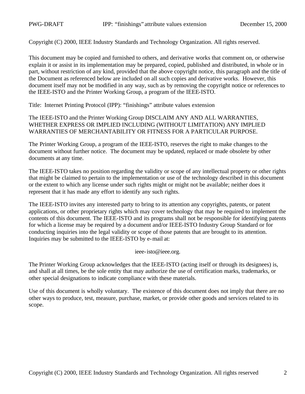Copyright (C) 2000, IEEE Industry Standards and Technology Organization. All rights reserved.

This document may be copied and furnished to others, and derivative works that comment on, or otherwise explain it or assist in its implementation may be prepared, copied, published and distributed, in whole or in part, without restriction of any kind, provided that the above copyright notice, this paragraph and the title of the Document as referenced below are included on all such copies and derivative works. However, this document itself may not be modified in any way, such as by removing the copyright notice or references to the IEEE-ISTO and the Printer Working Group, a program of the IEEE-ISTO.

Title: Internet Printing Protocol (IPP): "finishings" attribute values extension

The IEEE-ISTO and the Printer Working Group DISCLAIM ANY AND ALL WARRANTIES, WHETHER EXPRESS OR IMPLIED INCLUDING (WITHOUT LIMITATION) ANY IMPLIED WARRANTIES OF MERCHANTABILITY OR FITNESS FOR A PARTICULAR PURPOSE.

The Printer Working Group, a program of the IEEE-ISTO, reserves the right to make changes to the document without further notice. The document may be updated, replaced or made obsolete by other documents at any time.

The IEEE-ISTO takes no position regarding the validity or scope of any intellectual property or other rights that might be claimed to pertain to the implementation or use of the technology described in this document or the extent to which any license under such rights might or might not be available; neither does it represent that it has made any effort to identify any such rights.

The IEEE-ISTO invites any interested party to bring to its attention any copyrights, patents, or patent applications, or other proprietary rights which may cover technology that may be required to implement the contents of this document. The IEEE-ISTO and its programs shall not be responsible for identifying patents for which a license may be required by a document and/or IEEE-ISTO Industry Group Standard or for conducting inquiries into the legal validity or scope of those patents that are brought to its attention. Inquiries may be submitted to the IEEE-ISTO by e-mail at:

ieee-isto@ieee.org.

The Printer Working Group acknowledges that the IEEE-ISTO (acting itself or through its designees) is, and shall at all times, be the sole entity that may authorize the use of certification marks, trademarks, or other special designations to indicate compliance with these materials.

Use of this document is wholly voluntary. The existence of this document does not imply that there are no other ways to produce, test, measure, purchase, market, or provide other goods and services related to its scope.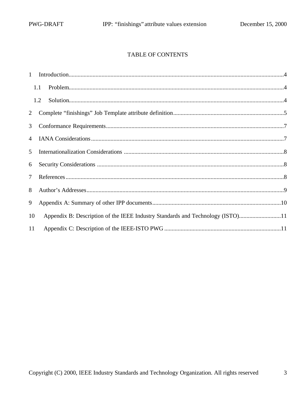## TABLE OF CONTENTS

|                | 1.1 |                                                                                |  |
|----------------|-----|--------------------------------------------------------------------------------|--|
|                | 1.2 |                                                                                |  |
| 2              |     |                                                                                |  |
| 3              |     |                                                                                |  |
| $\overline{4}$ |     |                                                                                |  |
| 5              |     |                                                                                |  |
| 6              |     |                                                                                |  |
| $\overline{7}$ |     |                                                                                |  |
| 8              |     |                                                                                |  |
| 9              |     |                                                                                |  |
| 10             |     | Appendix B: Description of the IEEE Industry Standards and Technology (ISTO)11 |  |
| 11             |     |                                                                                |  |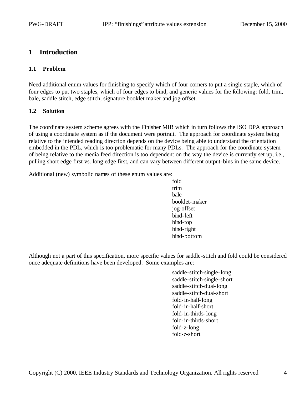## **1 Introduction**

#### **1.1 Problem**

Need additional enum values for finishing to specify which of four corners to put a single staple, which of four edges to put two staples, which of four edges to bind, and generic values for the following: fold, trim, bale, saddle stitch, edge stitch, signature booklet maker and jog-offset.

#### **1.2 Solution**

The coordinate system scheme agrees with the Finisher MIB which in turn follows the ISO DPA approach of using a coordinate system as if the document were portrait. The approach for coordinate system being relative to the intended reading direction depends on the device being able to understand the orientation embedded in the PDL, which is too problematic for many PDLs. The approach for the coordinate system of being relative to the media feed direction is too dependent on the way the device is currently set up, i.e., pulling short edge first vs. long edge first, and can vary between different output-bins in the same device.

Additional (new) symbolic names of these enum values are:

fold trim bale booklet-maker jog-offset bind-left bind-top bind-right bind-bottom

Although not a part of this specification, more specific values for saddle-stitch and fold could be considered once adequate definitions have been developed. Some examples are:

> saddle-stitch-single-long saddle-stitch-single-short saddle-stitch-dual-long saddle-stitch-dual-short fold-in-half-long fold-in-half-short fold-in-thirds-long fold-in-thirds-short fold-z-long fold-z-short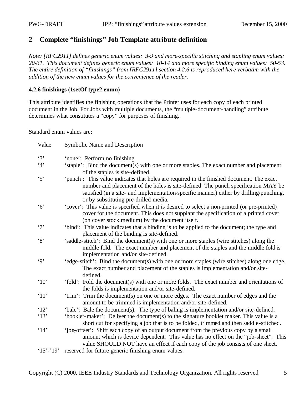## **2 Complete "finishings" Job Template attribute definition**

*Note: [RFC2911] defines generic enum values: 3-9 and more-specific stitching and stapling enum values: 20-31. This document defines generic enum values: 10-14 and more specific binding enum values: 50-53. The entire definition of "finishings" from [RFC2911] section 4.2.6 is reproduced here verbatim with the addition of the new enum values for the convenience of the reader.*

#### **4.2.6 finishings (1setOf type2 enum)**

This attribute identifies the finishing operations that the Printer uses for each copy of each printed document in the Job. For Jobs with multiple documents, the "multiple-document-handling" attribute determines what constitutes a "copy" for purposes of finishing.

Standard enum values are:

| Value                | Symbolic Name and Description                                                                                                                                                                                                                                                                                    |
|----------------------|------------------------------------------------------------------------------------------------------------------------------------------------------------------------------------------------------------------------------------------------------------------------------------------------------------------|
| $\cdot$ 3'           | 'none': Perform no finishing                                                                                                                                                                                                                                                                                     |
| 4'                   | 'staple': Bind the document(s) with one or more staples. The exact number and placement<br>of the staples is site-defined.                                                                                                                                                                                       |
| $\cdot$ 5'           | 'punch': This value indicates that holes are required in the finished document. The exact<br>number and placement of the holes is site-defined The punch specification MAY be<br>satisfied (in a site- and implementation-specific manner) either by drilling/punching,<br>or by substituting pre-drilled media. |
| $\cdot$ 6'           | 'cover': This value is specified when it is desired to select a non-printed (or pre-printed)<br>cover for the document. This does not supplant the specification of a printed cover<br>(on cover stock medium) by the document itself.                                                                           |
| $\cdot$ 7'           | 'bind': This value indicates that a binding is to be applied to the document; the type and<br>placement of the binding is site-defined.                                                                                                                                                                          |
| $\cdot$ 8'           | 'saddle-stitch': Bind the document(s) with one or more staples (wire stitches) along the<br>middle fold. The exact number and placement of the staples and the middle fold is<br>implementation and/or site-defined.                                                                                             |
| $\cdot$ 9'           | 'edge-stitch': Bind the document(s) with one or more staples (wire stitches) along one edge.<br>The exact number and placement of the staples is implementation and/or site-<br>defined.                                                                                                                         |
| $^{\circ}10^{\circ}$ | 'fold': Fold the document(s) with one or more folds. The exact number and orientations of<br>the folds is implementation and/or site-defined.                                                                                                                                                                    |
| '11'                 | 'trim': Trim the document(s) on one or more edges. The exact number of edges and the<br>amount to be trimmed is implementation and/or site-defined.                                                                                                                                                              |
| '12'                 | 'bale': Bale the document(s). The type of baling is implementation and/or site-defined.                                                                                                                                                                                                                          |
| '13'                 | 'booklet-maker': Deliver the document(s) to the signature booklet maker. This value is a<br>short cut for specifying a job that is to be folded, trimmed and then saddle-stitched.                                                                                                                               |
| $^{\circ}14'$        | 'jog-offset': Shift each copy of an output document from the previous copy by a small<br>amount which is device dependent. This value has no effect on the "job-sheet". This<br>value SHOULD NOT have an effect if each copy of the job consists of one sheet.                                                   |
| $15' - 19'$          | reserved for future generic finishing enum values.                                                                                                                                                                                                                                                               |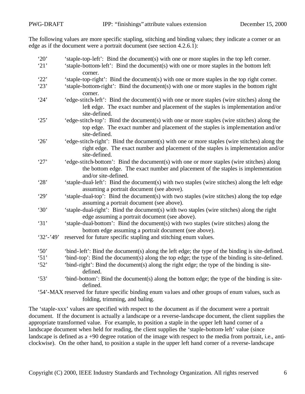The following values are more specific stapling, stitching and binding values; they indicate a corner or an edge as if the document were a portrait document (see section 4.2.6.1):

| '20'                 | 'staple-top-left': Bind the document(s) with one or more staples in the top left corner.           |
|----------------------|----------------------------------------------------------------------------------------------------|
| '21'                 | 'staple-bottom-left': Bind the document(s) with one or more staples in the bottom left             |
|                      | corner.                                                                                            |
| '22'                 | 'staple-top-right': Bind the document(s) with one or more staples in the top right corner.         |
| '23'                 | 'staple-bottom-right': Bind the document(s) with one or more staples in the bottom right           |
|                      | corner.                                                                                            |
| 24'                  | 'edge-stitch-left': Bind the document(s) with one or more staples (wire stitches) along the        |
|                      | left edge. The exact number and placement of the staples is implementation and/or                  |
|                      | site-defined.                                                                                      |
| 25'                  | 'edge-stitch-top': Bind the document(s) with one or more staples (wire stitches) along the         |
|                      | top edge. The exact number and placement of the staples is implementation and/or                   |
|                      | site-defined.                                                                                      |
| 26'                  | 'edge-stitch-right': Bind the document(s) with one or more staples (wire stitches) along the       |
|                      | right edge. The exact number and placement of the staples is implementation and/or                 |
|                      | site-defined.                                                                                      |
| '27'                 | 'edge-stitch-bottom': Bind the document(s) with one or more staples (wire stitches) along          |
|                      | the bottom edge. The exact number and placement of the staples is implementation                   |
|                      | and/or site-defined.                                                                               |
| 28'                  | 'staple-dual-left': Bind the document(s) with two staples (wire stitches) along the left edge      |
|                      | assuming a portrait document (see above).                                                          |
| '29'                 | 'staple-dual-top': Bind the document(s) with two staples (wire stitches) along the top edge        |
|                      | assuming a portrait document (see above).                                                          |
| $^{\circ}30^{\circ}$ | 'staple-dual-right': Bind the document(s) with two staples (wire stitches) along the right         |
|                      | edge assuming a portrait document (see above).                                                     |
| 31'                  | 'staple-dual-bottom': Bind the document(s) with two staples (wire stitches) along the              |
|                      | bottom edge assuming a portrait document (see above).                                              |
| $32' - 49'$          | reserved for future specific stapling and stitching enum values.                                   |
|                      |                                                                                                    |
| $\cdot$ 50'          | 'bind-left': Bind the document(s) along the left edge; the type of the binding is site-defined.    |
| $\cdot$ 51'          | 'bind-top': Bind the document(s) along the top edge; the type of the binding is site-defined.      |
| 52'                  | 'bind-right': Bind the document(s) along the right edge; the type of the binding is site-          |
|                      | defined.                                                                                           |
| 53'                  | 'bind-bottom': Bind the document(s) along the bottom edge; the type of the binding is site-        |
|                      | defined.                                                                                           |
|                      | '54'-MAX reserved for future specific binding enum values and other groups of enum values, such as |
|                      | folding, trimming, and baling.                                                                     |

The 'staple-xxx' values are specified with respect to the document as if the document were a portrait document. If the document is actually a landscape or a reverse-landscape document, the client supplies the appropriate transformed value. For example, to position a staple in the upper left hand corner of a landscape document when held for reading, the client supplies the 'staple-bottom-left' value (since landscape is defined as a +90 degree rotation of the image with respect to the media from portrait, i.e., anticlockwise). On the other hand, to position a staple in the upper left hand corner of a reverse-landscape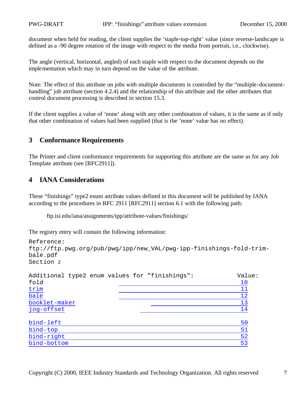document when held for reading, the client supplies the 'staple-top-right' value (since reverse-landscape is defined as a -90 degree rotation of the image with respect to the media from portrait, i.e., clockwise).

The angle (vertical, horizontal, angled) of each staple with respect to the document depends on the implementation which may in turn depend on the value of the attribute.

Note: The effect of this attribute on jobs with multiple documents is controlled by the "multiple-documenthandling" job attribute (section 4.2.4) and the relationship of this attribute and the other attributes that control document processing is described in section 15.3.

If the client supplies a value of 'none' along with any other combination of values, it is the same as if only that other combination of values had been supplied (that is the 'none' value has no effect).

## **3 Conformance Requirements**

The Printer and client conformance requirements for supporting this attribute are the same as for any Job Template attribute (see [RFC2911]).

## **4 IANA Considerations**

These "finishings" type2 enum attribute values defined in this document will be published by IANA according to the procedures in RFC 2911 [RFC2911] section 6.1 with the following path:

ftp.isi.edu/iana/assignments/ipp/attribute-values/finishings/

The registry entry will contain the following information:

```
Reference: 
ftp://ftp.pwg.org/pub/pwg/ipp/new_VAL/pwg-ipp-finishings-fold-trim-
bale.pdf
Section 2
Additional type2 enum values for "finishings": Value:
fold the contract of the contract of the contract of the contract of the contract of the contract of the contract of the contract of the contract of the contract of the contract of the contract of the contract of the contr
trim 11 and 12 and 12 and 12 and 12 and 12 and 12 and 12 and 12 and 12 and 12 and 12 and 12 and 12 and 12 and 12 and 12 and 12 and 12 and 12 and 12 and 12 and 12 and 12 and 12 and 12 and 12 and 12 and 12 and 12 and 12 and 
bale the contract of the contract of the contract of the contract of the contract of the contract of the contract of the contract of the contract of the contract of the contract of the contract of the contract of the contr
booklet-maker 13<br>
jog-offset 14
jog-offset
bind-left 50
bind-top 51<br>bind-right 52
bind-right
bind-bottom 53
```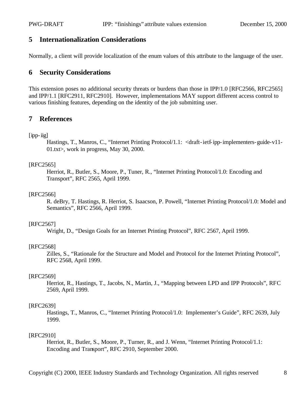## **5 Internationalization Considerations**

Normally, a client will provide localization of the enum values of this attribute to the language of the user.

## **6 Security Considerations**

This extension poses no additional security threats or burdens than those in IPP/1.0 [RFC2566, RFC2565] and IPP/1.1 [RFC2911, RFC2910]. However, implementations MAY support different access control to various finishing features, depending on the identity of the job submitting user.

## **7 References**

#### [ipp-iig]

Hastings, T., Manros, C., "Internet Printing Protocol/1.1: <draft-ietf-ipp-implementers-guide-v11-01.txt>, work in progress, May 30, 2000.

#### [RFC2565]

Herriot, R., Butler, S., Moore, P., Tuner, R., "Internet Printing Protocol/1.0: Encoding and Transport", RFC 2565, April 1999.

#### [RFC2566]

R. deBry, T. Hastings, R. Herriot, S. Isaacson, P. Powell, "Internet Printing Protocol/1.0: Model and Semantics", RFC 2566, April 1999.

#### [RFC2567]

Wright, D., "Design Goals for an Internet Printing Protocol", RFC 2567, April 1999.

#### [RFC2568]

Zilles, S., "Rationale for the Structure and Model and Protocol for the Internet Printing Protocol", RFC 2568, April 1999.

#### [RFC2569]

Herriot, R., Hastings, T., Jacobs, N., Martin, J., "Mapping between LPD and IPP Protocols", RFC 2569, April 1999.

#### [RFC2639]

Hastings, T., Manros, C., "Internet Printing Protocol/1.0: Implementer's Guide", RFC 2639, July 1999.

#### [RFC2910]

Herriot, R., Butler, S., Moore, P., Turner, R., and J. Wenn, "Internet Printing Protocol/1.1: Encoding and Transport", RFC 2910, September 2000.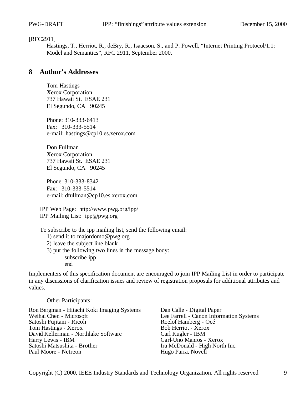#### [RFC2911]

Hastings, T., Herriot, R., deBry, R., Isaacson, S., and P. Powell, "Internet Printing Protocol/1.1: Model and Semantics", RFC 2911, September 2000.

## **8 Author's Addresses**

Tom Hastings Xerox Corporation 737 Hawaii St. ESAE 231 El Segundo, CA 90245

Phone: 310-333-6413 Fax: 310-333-5514 e-mail: hastings@cp10.es.xerox.com

Don Fullman Xerox Corporation 737 Hawaii St. ESAE 231 El Segundo, CA 90245

Phone: 310-333-8342 Fax: 310-333-5514 e-mail: dfullman@cp10.es.xerox.com

IPP Web Page: http://www.pwg.org/ipp/ IPP Mailing List: ipp@pwg.org

To subscribe to the ipp mailing list, send the following email:

- 1) send it to majordomo@pwg.org
- 2) leave the subject line blank
- 3) put the following two lines in the message body: subscribe ipp end

Implementers of this specification document are encouraged to join IPP Mailing List in order to participate in any discussions of clarification issues and review of registration proposals for additional attributes and values.

Other Participants:

Ron Bergman - Hitachi Koki Imaging Systems Dan Calle - Digital Paper<br>Weihai Chen - Microsoft Lee Farrell - Canon Inform Satoshi Fujitani - Ricoh Roelof Hamberg - Océ<br>
Tom Hastings - Xerox Bob Herriot - Xerox Tom Hastings - Xerox<br>
David Kellerman - Northlake Software<br>
Carl Kugler - IBM David Kellerman - Northlake Software<br>Harry Lewis - IBM Harry Lewis - IBM<br>
Satoshi Matsushita - Brother<br>
Tra McDonald - High Nortl Satoshi Matsushita - Brother Ira McDonald - High North Inc.<br>
Paul Moore - Netreon Ira Ira McDonald - High North Inc.

Lee Farrell - Canon Information Systems Hugo Parra, Novell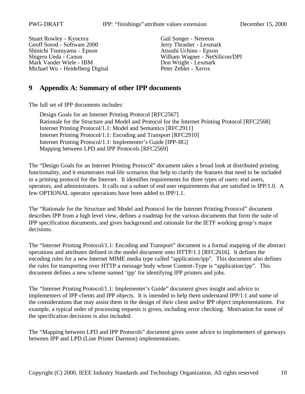Stuart Rowley - Kyocera<br>
Gail Songer - Netreon<br>
Gail Songer - Netreon<br>
Jerry Thrasher - Lexmark Geoff Sorod - Software 2000 Jerry Thrasher - Lexmarl<br>Shinichi Tsuruyama - Epson Atsushi Uchino - Epson Shinichi Tsuruyama - Epson Mark Vander Wiele - IBM<br>
Michael Wu - Heidelberg Digital<br>
Peter Zehler - Xerox Michael Wu - Heidelberg Digital

Shigeru Ueda - Canon William Wagner - NetSilicon/DPI<br>
Mark Vander Wiele - IBM Don Wright - Lexmark

## **9 Appendix A: Summary of other IPP documents**

The full set of IPP documents includes:

Design Goals for an Internet Printing Protocol [RFC2567] Rationale for the Structure and Model and Protocol for the Internet Printing Protocol [RFC2568] Internet Printing Protocol/1.1: Model and Semantics [RFC2911] Internet Printing Protocol/1.1: Encoding and Transport [RFC2910] Internet Printing Protocol/1.1: Implementer's Guide [IPP-IIG] Mapping between LPD and IPP Protocols [RFC2569]

The "Design Goals for an Internet Printing Protocol" document takes a broad look at distributed printing functionality, and it enumerates real-life scenarios that help to clarify the features that need to be included in a printing protocol for the Internet. It identifies requirements for three types of users: end users, operators, and administrators. It calls out a subset of end user requirements that are satisfied in IPP/1.0. A few OPTIONAL operator operations have been added to IPP/1.1.

The "Rationale for the Structure and Model and Protocol for the Internet Printing Protocol" document describes IPP from a high level view, defines a roadmap for the various documents that form the suite of IPP specification documents, and gives background and rationale for the IETF working group's major decisions.

The "Internet Printing Protocol/1.1: Encoding and Transport" document is a formal mapping of the abstract operations and attributes defined in the model document onto HTTP/1.1 [RFC2616]. It defines the encoding rules for a new Internet MIME media type called "application/ipp". This document also defines the rules for transporting over HTTP a message body whose Content-Type is "application/ipp". This document defines a new scheme named 'ipp' for identifying IPP printers and jobs.

The "Internet Printing Protocol/1.1: Implementer's Guide" document gives insight and advice to implementers of IPP clients and IPP objects. It is intended to help them understand IPP/1.1 and some of the considerations that may assist them in the design of their client and/or IPP object implementations. For example, a typical order of processing requests is given, including error checking. Motivation for some of the specification decisions is also included.

The "Mapping between LPD and IPP Protocols" document gives some advice to implementers of gateways between IPP and LPD (Line Printer Daemon) implementations.